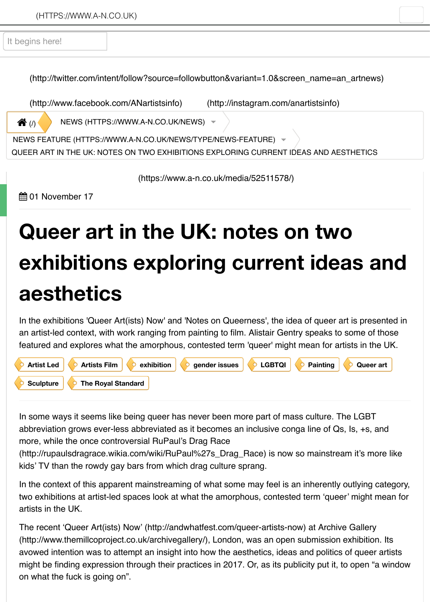

 $\bigotimes$  (/) [NEWS \(HTTPS://WWW.A](https://www.a-n.co.uk/)-N.CO.UK/NEWS)  $\rightarrow$ 

NEWS FEATURE (HTTPS://WWW.A-N.CO.UK/NEWS/TYPE/NEWS-FEATURE)

QUEER ART IN THE UK: NOTES ON TWO EXHIBITIONS EXPLORING CURRENT IDEAS AND AESTHETICS

[\(https://www.a-n.co.uk/media/52511578/\)](http://twitter.com/intent/follow?source=followbutton&variant=1.0&screen_name=an_artnews)

 $#$  [01 November 17](http://www.facebook.com/ANartistsinfo)

## **[Qu](https://www.a-n.co.uk/)[eer art in the UK](https://www.a-n.co.uk/news)[:](https://www.a-n.co.uk/news/queer-art-uk-notes-two-exhibitions-exploring-current-ideas-aesthetics#) notes on two [exhibitions exploring curr](https://www.a-n.co.uk/news/type/news-feature)[en](https://www.a-n.co.uk/news/queer-art-uk-notes-two-exhibitions-exploring-current-ideas-aesthetics#)t ideas and [aesthetics](https://www.a-n.co.uk/media/52511578/)**

In the exhibitions 'Queer Art(ists) Now' and 'Notes on Queerness', the idea of queer art is pres an artist-led context, with work ranging from painting to film. Alistair Gentry speaks to some of featured and explores what the amorphous, contested term 'queer' might mean for artists in the



In some ways it seems like being queer has never been more part of mass culture. The LGBT abbreviation grows ever-less abbreviated as it becomes an inclusive conga line of  $\textsf{Qs}, \textsf{ls}, \textsf{+s}, \textsf{a}$ more, while the once controversial RuPaul's Drag Race

(http://rupaulsdragrace.wikia.com/wiki/RuPaul%27s\_Drag\_Race) is now so mainstream it's mo kids' TV than the rowdy gay bars from which drag culture sprang.

[In the conte](https://www.a-n.co.uk/tag/artist-led)xt [of this appare](https://www.a-n.co.uk/tag/artists-film)n[t mainstream](https://www.a-n.co.uk/tag/exhibition-2)i[ng of what some](https://www.a-n.co.uk/tag/gender-issues) [may feel is](https://www.a-n.co.uk/tag/lgbtqi) a[n inherently](https://www.a-n.co.uk/tag/painting) outlying or [two exhibitio](https://www.a-n.co.uk/tag/sculpture)n[s at artist-led spaces](https://www.a-n.co.uk/tag/the-royal-standard) look at what the amorphous, contested term 'queer' might r artists in the UK.

The recent 'Queer Art(ists) Now' (http://andwhatfest.com/queer-artists-now) at Archive Gallery (http://www.themillcoproject.co.uk/archivegallery/), London, was an open submission exhibition avowed intention was to attempt an insight into how the aesthetics, ideas and politics of queer [might be finding expression through their practices in 2017. Or, as](http://rupaulsdragrace.wikia.com/wiki/RuPaul%27s_Drag_Race) its publicity put it, to open "a on what the fuck is going on".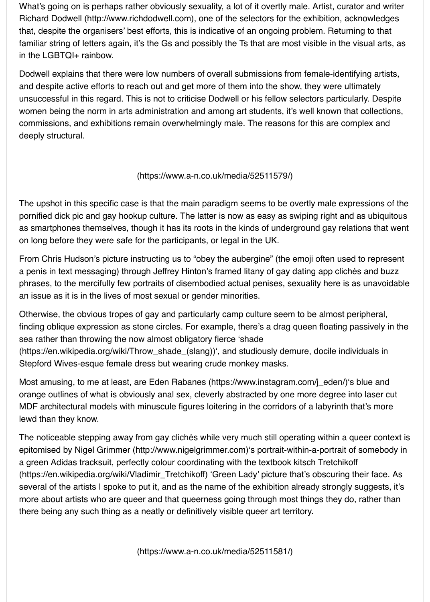women being the norm in and artistical and among and among art students, it well known that collections, it is well known that collections, it is well known that collections, it is well known that collections, it is well a commissions, and exhibitions remain overwhelmingly male. The reasons for this are complex [deeply structural.](http://www.richdodwell.com/)

(https://www.a-n.co.uk/media/52511579/)

The upshot in this specific case is that the main paradigm seems to be overtly male expression pornified dick pic and gay hookup culture. The latter is now as easy as swiping right and as ub as smartphones themselves, though it has its roots in the kinds of underground gay relations t on long before they were safe for the participants, or legal in the UK.

From Chris Hudson's picture instructing us to "obey the aubergine" (the emoji often used to represent a penis in text messaging) through Jeffrey Hinton's framed litany of gay dating app clichés and phrases, to the mercifully few portraits of disembodied actual penises, sexuality here is as una an issue as it is in the lives of most sexual or gender minorities.

Otherwise, the obvious tropes of gay and particularly camp culture seem to be almost peripheral finding oblique expression as stone circles. For example, there's a drag queen floating passive sea rather than throwing the now almost obligatory fierce 'shade (https://en.wikipedia.org/wiki/Throw\_shade\_(slang))', and studiously demure, docile individuals Stepford Wives-esque female dress but wearing crude monkey masks.

Most amusing, to me at least, are Eden Rabanes (https://www.instagram.com/j\_eden/)'s blue and orange outlines of what is obviously anal sex, cleverly abstracted by one more degree into lase MDF architectural models with minuscule figures loitering in the corridors of a labyrinth that's r lewd than they know.

The noticeable stepping away from gay clichés while very much still operating within a queer on epitomised by Nigel Grimmer (http://www.nigelgrimmer.com)'s portrait-within-a-portrait of some [a green Adidas tracksuit, perfectly colour coordinating with the te](https://en.wikipedia.org/wiki/Throw_shade_(slang))xtbook kitsch Tretchikoff (https://en.wikipedia.org/wiki/Vladimir\_Tretchikoff) 'Green Lady' picture that's obscuring their fa several of the artists I spoke to put it, and as the name of the exhibition already strongly sugge more about artists who are queer [and that queerness going through most things they d](https://www.instagram.com/j_eden/)o, rather there being any such thing as a neatly or definitively visible queer art territory.

(https://www.a-n.co.uk/media/52511581/)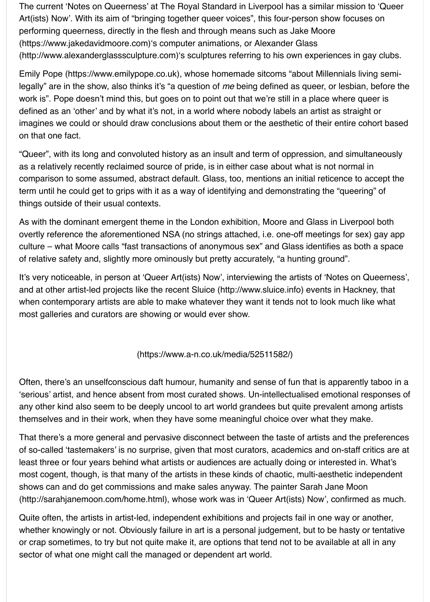defined as an iother's not, in a world where not, in a world where no artist as straight or imagines we could or should draw conclusions about them or the aesthetic of their entire cohor on that one fact.

["Queer", with its long and convoluted history as an insult and term of oppression, an](https://www.jakedavidmoore.com/)d simultan [as a relatively recently reclaimed source of pride, is in either case about what is](http://www.alexanderglasssculpture.com/) not normal in comparison to some assumed, abstract default. Glass, too, mentions an initial reticence to accept the the [term until he could get to grips with it as a](https://www.emilypope.co.uk/) way of identifying and demonstrating the "queering" things outside of their usual contexts.

As with the dominant emergent theme in the London exhibition, Moore and Glass in Liverpool overtly reference the aforementioned NSA (no strings attached, i.e. one-off meetings for sex) gay culture – what Moore calls "fast transactions of anonymous sex" and Glass identifies as both a of relative safety and, slightly more ominously but pretty accurately, "a hunting ground".

It's very noticeable, in person at 'Queer Art(ists) Now', interviewing the artists of 'Notes on Que and at other artist-led projects like the recent Sluice (http://www.sluice.info) events in Hackney when contemporary artists are able to make whatever they want it tends not to look much like most galleries and curators are showing or would ever show.

(https://www.a-n.co.uk/media/52511582/)

Often, there's an unselfconscious daft humour, humanity and sense of fun that is apparently ta 'serious' artist, and hence absent from most curated shows. Un-intellectualised emotional resp any other kind also seem to be deeply uncoo[l to art world grandees but qui](http://www.sluice.info/)te prevalent among themselves and in their work, when they have some meaningful choice over what they make.

That there's a more general and pervasive disconnect between the taste of artists and the pref of so-called 'tastemakers' is no surprise, given that most curators, academics and on-staff critical least [three or four years behind what artists or audiences are actually doing or interested in. What](https://www.a-n.co.uk/media/52511582/)'s most cogent, though, is that many of the artists in these kinds of chaotic, multi-aesthetic indep shows can and do get commissions and make sales anyway. The painter Sarah Jane Moon (http://sarahjanemoon.com/home.html), whose work was in 'Queer Art(ists) Now', confirmed a

Quite often, the artists in artist-led, independent exhibitions and projects fail in one way or ano whether knowingly or not. Obviously failure in art is a personal judgement, but to be hasty or to or crap sometimes, to try but not quite make it, are options that tend not to be available at all in sector of what one might call the managed or dependent art world.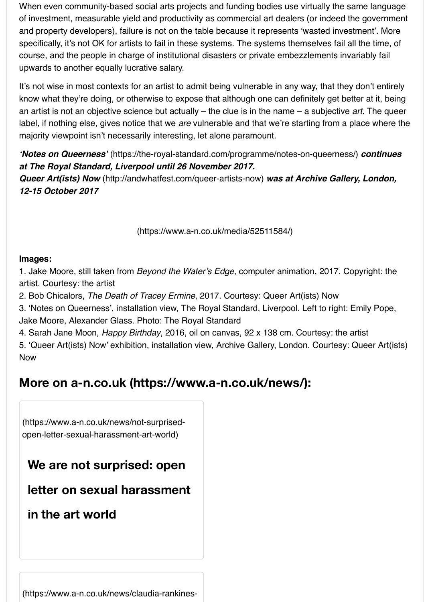an artist is not an objective science but actually – the clue is in the name – a subjective *art*. The queer label, if nothing else, gives notice that we *are* vulnerable and that we're starting from a place w majority viewpoint isn't necessarily interesting, let alone paramount.

*'Notes on Queerness'* (https://the-royal-standard.com/programme/notes-on-queerness/) *con at The Royal Standard, Liverpool until 26 November 2017.*

*Queer Art(ists) Now (http://andwhatfest.com/queer-artists-now) was at Archive Gallery, Lor 12-15 October 2017*

(https://www.a-n.co.uk/media/52511584/)

## **Images:**

1. Jake Moore, still taken from *Beyond the Water's Edge*[, computer animation, 2017. Cop](https://the-royal-standard.com/programme/notes-on-queerness/)yrigh artist. Courtesy: the artist

2. Bob Chicalors, *[The Death of Tracey Ermine](http://andwhatfest.com/queer-artists-now)*, 2017. Courtesy: Queer Art(ists) Now

3. 'Notes on Queerness', installation view, The Royal Standard, Liverpool. Left to right: Emily F Jake Moore, Alexander Glass. Photo: The Royal Standard

4. Sarah Jane Moon, *Happy Birthday*, 2016, oil on canvas, 92 x 138 cm. Courtesy: the artist

5. 'Queer Art(ists) Now' exhibition, installation view, Archive Gallery, London. Courtesy: Queer Now

## **More on a-n.co.uk (https://www.a-n.co.uk/news/):**

(https://www.a-n.co.uk/news/not-surprisedopen-letter-sexual-harassment-art-world)

**We are not surprised: open**

**letter o[n sexual harassment](https://www.a-n.co.uk/news/)**

**[in the art world](https://www.a-n.co.uk/news/not-surprised-open-letter-sexual-harassment-art-world)**

(https://www.a-n.co.uk/news/claudia-rankines-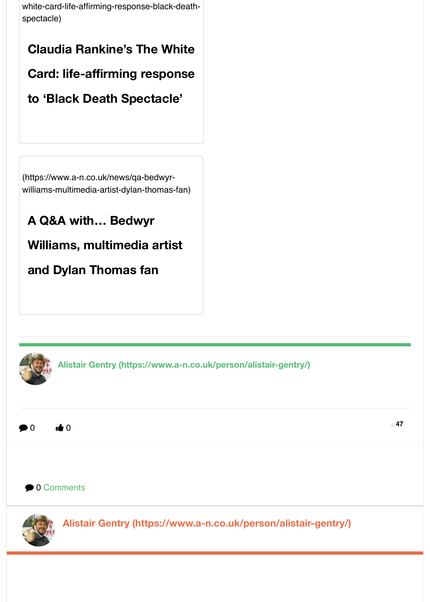(https://www.a-n.co.uk/news/qa-bedwyrwilliams-multimedia-artist-dylan-thomas-fan)

**A Q&A with… Bedwyr**

**Williams, multimedia artist**

**[and Dylan Thomas fan](https://www.a-n.co.uk/news/qa-bedwyr-williams-multimedia-artist-dylan-thomas-fan)**

**Alistair Gentry (https://www.a-n.co.uk/person/alistair-gentry/)**

 $\bullet$  0 Comments

 $\bullet$  0  $\bullet$  0



**Alistair Gentry (https://www.a-n.co.uk/person/alistair-gentry/)**